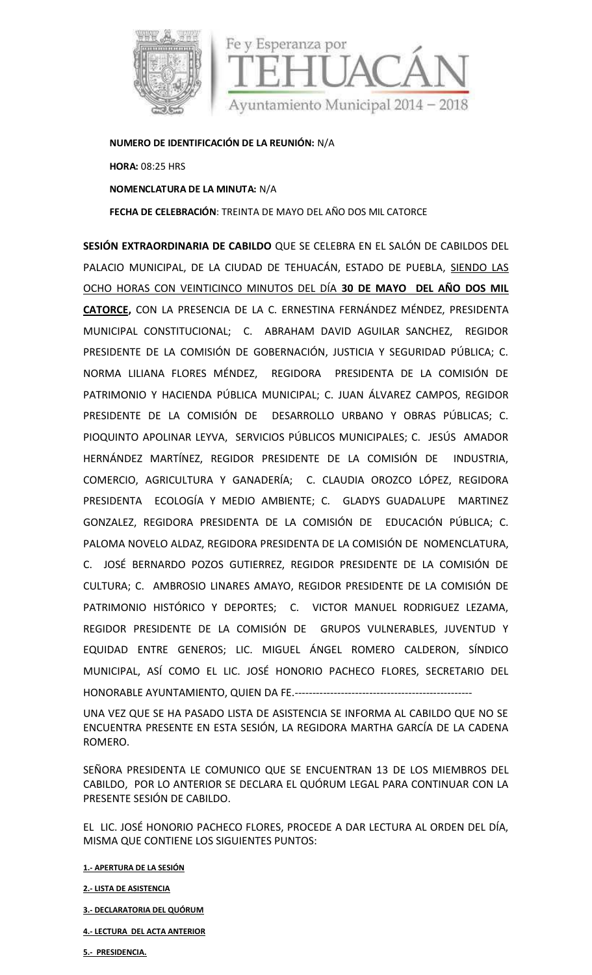



**NUMERO DE IDENTIFICACIÓN DE LA REUNIÓN:** N/A

**HORA:** 08:25 HRS **NOMENCLATURA DE LA MINUTA:** N/A **FECHA DE CELEBRACIÓN**: TREINTA DE MAYO DELAÑO DOS MIL CATORCE

**SESIÓN EXTRAORDINARIA DE CABILDO** QUE SE CELEBRA EN EL SALÓN DE CABILDOS DEL PALACIO MUNICIPAL, DE LA CIUDAD DE TEHUACÁN, ESTADO DE PUEBLA, SIENDO LAS OCHO HORAS CON VEINTICINCO MINUTOS DEL DÍA **30 DE MAYO DEL AÑO DOS MIL CATORCE,** CON LA PRESENCIA DE LA C. ERNESTINA FERNÁNDEZ MÉNDEZ, PRESIDENTA MUNICIPAL CONSTITUCIONAL; C. ABRAHAM DAVID AGUILAR SANCHEZ, REGIDOR PRESIDENTE DE LA COMISIÓN DE GOBERNACIÓN, JUSTICIA Y SEGURIDAD PÚBLICA; C. NORMA LILIANA FLORES MÉNDEZ, REGIDORA PRESIDENTA DE LA COMISIÓN DE PATRIMONIO Y HACIENDA PÚBLICA MUNICIPAL; C. JUAN ÁLVAREZ CAMPOS, REGIDOR PRESIDENTE DE LA COMISIÓN DE DESARROLLO URBANO Y OBRAS PÚBLICAS; C. PIOQUINTO APOLINAR LEYVA, SERVICIOS PÚBLICOS MUNICIPALES; C. JESÚS AMADOR HERNÁNDEZ MARTÍNEZ, REGIDOR PRESIDENTE DE LA COMISIÓN DE INDUSTRIA, COMERCIO, AGRICULTURA Y GANADERÍA; C. CLAUDIA OROZCO LÓPEZ, REGIDORA PRESIDENTA ECOLOGÍA Y MEDIO AMBIENTE; C. GLADYS GUADALUPE MARTINEZ GONZALEZ, REGIDORA PRESIDENTA DE LA COMISIÓN DE EDUCACIÓN PÚBLICA; C. PALOMA NOVELO ALDAZ, REGIDORA PRESIDENTA DE LA COMISIÓN DE NOMENCLATURA, C. JOSÉ BERNARDO POZOS GUTIERREZ, REGIDOR PRESIDENTE DE LA COMISIÓN DE CULTURA; C. AMBROSIO LINARES AMAYO, REGIDOR PRESIDENTE DE LA COMISIÓN DE PATRIMONIO HISTÓRICO Y DEPORTES; C. VICTOR MANUEL RODRIGUEZ LEZAMA, REGIDOR PRESIDENTE DE LA COMISIÓN DE GRUPOS VULNERABLES, JUVENTUD Y EQUIDAD ENTRE GENEROS; LIC. MIGUEL ÁNGEL ROMERO CALDERON, SÍNDICO MUNICIPAL, ASÍ COMO EL LIC. JOSÉ HONORIO PACHECO FLORES, SECRETARIO DEL HONORABLE AYUNTAMIENTO, QUIEN DA FE.--------------------------------------------------

UNA VEZ QUE SE HA PASADO LISTA DE ASISTENCIA SE INFORMA AL CABILDO QUE NO SE ENCUENTRA PRESENTE EN ESTA SESIÓN, LA REGIDORA MARTHA GARCÍA DE LA CADENA ROMERO.

SEÑORA PRESIDENTA LE COMUNICO QUE SE ENCUENTRAN 13 DE LOS MIEMBROS DEL CABILDO, POR LO ANTERIOR SE DECLARA EL QUÓRUM LEGAL PARA CONTINUAR CON LA PRESENTE SESIÓN DE CABILDO.

EL LIC. JOSÉ HONORIO PACHECO FLORES, PROCEDE A DAR LECTURA AL ORDEN DEL DÍA, MISMA QUE CONTIENE LOS SIGUIENTES PUNTOS:

**1.- APERTURA DE LA SESIÓN**

**2.- LISTA DE ASISTENCIA**

- **3.- DECLARATORIA DEL QUÓRUM**
- **4.- LECTURA DEL ACTA ANTERIOR**

**5.- PRESIDENCIA.**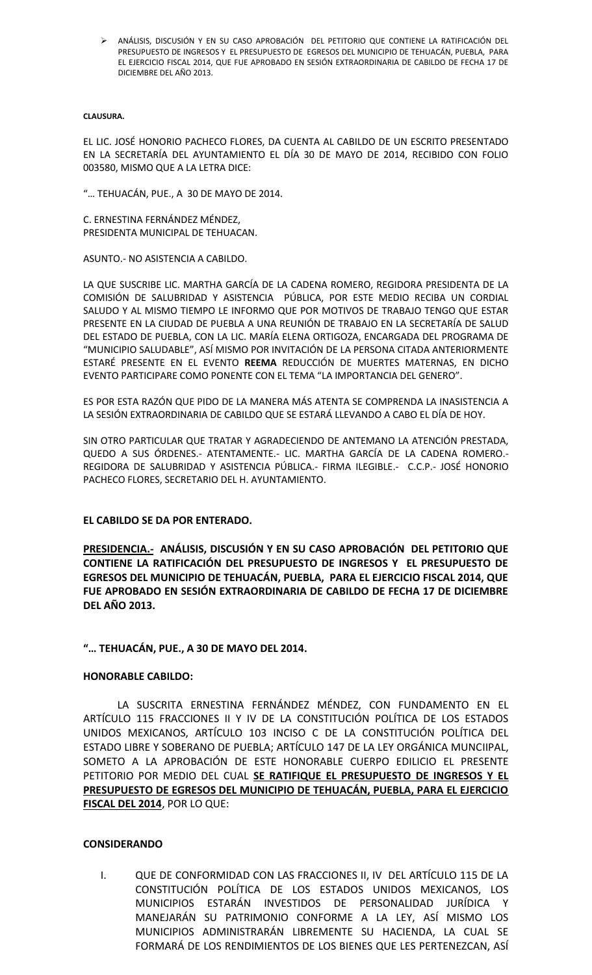ANÁLISIS, DISCUSIÓN Y EN SU CASO APROBACIÓN DEL PETITORIO QUE CONTIENE LA RATIFICACIÓN DEL PRESUPUESTO DE INGRESOS Y EL PRESUPUESTO DE EGRESOS DEL MUNICIPIO DE TEHUACÁN, PUEBLA, PARA EL EJERCICIO FISCAL 2014, QUE FUE APROBADO EN SESIÓN EXTRAORDINARIA DE CABILDO DE FECHA 17 DE DICIEMBRE DEL AÑO 2013.

#### **CLAUSURA.**

EL LIC. JOSÉ HONORIO PACHECO FLORES, DA CUENTA AL CABILDO DE UN ESCRITO PRESENTADO EN LA SECRETARÍA DEL AYUNTAMIENTO EL DÍA 30 DE MAYO DE 2014, RECIBIDO CON FOLIO 003580, MISMO QUE A LA LETRA DICE:

"… TEHUACÁN, PUE., A 30 DE MAYO DE 2014.

C. ERNESTINA FERNÁNDEZ MÉNDEZ, PRESIDENTA MUNICIPAL DE TEHUACAN.

ASUNTO.- NO ASISTENCIA A CABILDO.

LA QUE SUSCRIBE LIC. MARTHA GARCÍA DE LA CADENA ROMERO, REGIDORA PRESIDENTA DE LA COMISIÓN DE SALUBRIDAD Y ASISTENCIA PÚBLICA, POR ESTE MEDIO RECIBA UN CORDIAL SALUDO Y AL MISMO TIEMPO LE INFORMO QUE POR MOTIVOS DE TRABAJO TENGO QUE ESTAR PRESENTE EN LA CIUDAD DE PUEBLA A UNA REUNIÓN DE TRABAJO EN LA SECRETARÍA DE SALUD DEL ESTADO DE PUEBLA, CON LA LIC. MARÍA ELENA ORTIGOZA, ENCARGADA DEL PROGRAMA DE "MUNICIPIO SALUDABLE", ASÍ MISMO POR INVITACIÓN DE LA PERSONA CITADA ANTERIORMENTE ESTARÉ PRESENTE EN EL EVENTO **REEMA** REDUCCIÓN DE MUERTES MATERNAS, EN DICHO EVENTO PARTICIPARE COMO PONENTE CON EL TEMA "LA IMPORTANCIA DEL GENERO".

ES POR ESTA RAZÓN QUE PIDO DE LA MANERA MÁS ATENTA SE COMPRENDA LA INASISTENCIA A LA SESIÓN EXTRAORDINARIA DE CABILDO QUE SE ESTARÁ LLEVANDO A CABO EL DÍA DE HOY.

SIN OTRO PARTICULAR QUE TRATAR Y AGRADECIENDO DE ANTEMANO LA ATENCIÓN PRESTADA, QUEDO A SUS ÓRDENES.- ATENTAMENTE.- LIC. MARTHA GARCÍA DE LA CADENA ROMERO.- REGIDORA DE SALUBRIDAD Y ASISTENCIA PÚBLICA.- FIRMA ILEGIBLE.- C.C.P.- JOSÉ HONORIO PACHECO FLORES, SECRETARIO DEL H. AYUNTAMIENTO.

#### **EL CABILDO SE DA POR ENTERADO.**

**PRESIDENCIA.- ANÁLISIS, DISCUSIÓN Y EN SU CASO APROBACIÓN DEL PETITORIO QUE CONTIENE LA RATIFICACIÓN DEL PRESUPUESTO DE INGRESOS Y EL PRESUPUESTO DE EGRESOS DEL MUNICIPIO DE TEHUACÁN, PUEBLA, PARA EL EJERCICIO FISCAL 2014, QUE FUE APROBADO EN SESIÓN EXTRAORDINARIA DE CABILDO DE FECHA 17 DE DICIEMBRE DEL AÑO 2013.**

#### **"… TEHUACÁN, PUE., A 30 DE MAYO DEL 2014.**

#### **HONORABLE CABILDO:**

LA SUSCRITA ERNESTINA FERNÁNDEZ MÉNDEZ, CON FUNDAMENTO EN EL ARTÍCULO 115 FRACCIONES II Y IV DE LA CONSTITUCIÓN POLÍTICA DE LOS ESTADOS UNIDOS MEXICANOS, ARTÍCULO 103 INCISO C DE LA CONSTITUCIÓN POLÍTICA DEL ESTADO LIBRE Y SOBERANO DE PUEBLA; ARTÍCULO 147 DE LA LEY ORGÁNICA MUNCIIPAL, SOMETO A LA APROBACIÓN DE ESTE HONORABLE CUERPO EDILICIO EL PRESENTE PETITORIO POR MEDIO DEL CUAL **SE RATIFIQUE EL PRESUPUESTO DE INGRESOS Y EL PRESUPUESTO DE EGRESOS DEL MUNICIPIO DE TEHUACÁN, PUEBLA, PARA EL EJERCICIO FISCAL DEL 2014**, POR LO QUE:

#### **CONSIDERANDO**

I. QUE DE CONFORMIDAD CON LAS FRACCIONES II, IV DEL ARTÍCULO 115 DE LA CONSTITUCIÓN POLÍTICA DE LOS ESTADOS UNIDOS MEXICANOS, LOS MUNICIPIOS ESTARÁN INVESTIDOS DE PERSONALIDAD JURÍDICA Y MANEJARÁN SU PATRIMONIO CONFORME A LA LEY, ASÍ MISMO LOS MUNICIPIOS ADMINISTRARÁN LIBREMENTE SU HACIENDA, LA CUAL SE FORMARÁ DE LOS RENDIMIENTOS DE LOS BIENES QUE LES PERTENEZCAN, ASÍ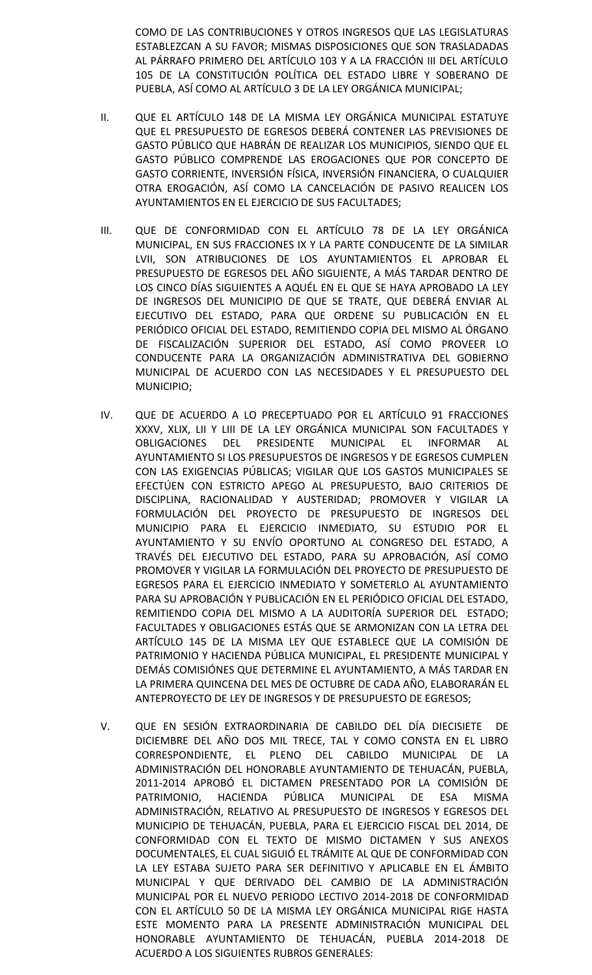COMO DE LAS CONTRIBUCIONES Y OTROS INGRESOS QUE LAS LEGISLATURAS ESTABLEZCAN A SU FAVOR; MISMAS DISPOSICIONES QUE SON TRASLADADAS AL PÁRRAFO PRIMERO DEL ARTÍCULO 103 Y A LA FRACCIÓN III DEL ARTÍCULO 105 DE LA CONSTITUCIÓN POLÍTICA DEL ESTADO LIBRE Y SOBERANO DE PUEBLA, ASÍ COMO AL ARTÍCULO 3 DE LA LEY ORGÁNICA MUNICIPAL;

- II. QUE EL ARTÍCULO 148 DE LA MISMA LEY ORGÁNICA MUNICIPAL ESTATUYE QUE EL PRESUPUESTO DE EGRESOS DEBERÁ CONTENER LAS PREVISIONES DE GASTO PÚBLICO QUE HABRÁN DE REALIZAR LOS MUNICIPIOS, SIENDO QUE EL GASTO PÚBLICO COMPRENDE LAS EROGACIONES QUE POR CONCEPTO DE GASTO CORRIENTE, INVERSIÓN FÍSICA, INVERSIÓN FINANCIERA, O CUALQUIER OTRA EROGACIÓN, ASÍ COMO LA CANCELACIÓN DE PASIVO REALICEN LOS AYUNTAMIENTOS EN EL EJERCICIO DE SUS FACULTADES;
- III. QUE DE CONFORMIDAD CON EL ARTÍCULO 78 DE LA LEY ORGÁNICA MUNICIPAL, EN SUS FRACCIONES IX Y LA PARTE CONDUCENTE DE LA SIMILAR LVII, SON ATRIBUCIONES DE LOS AYUNTAMIENTOS EL APROBAR EL PRESUPUESTO DE EGRESOS DEL AÑO SIGUIENTE, A MÁS TARDAR DENTRO DE LOS CINCO DÍAS SIGUIENTES A AQUÉL EN EL QUE SE HAYA APROBADO LA LEY DE INGRESOS DEL MUNICIPIO DE QUE SE TRATE, QUE DEBERÁ ENVIAR AL EJECUTIVO DEL ESTADO, PARA QUE ORDENE SU PUBLICACIÓN EN EL PERIÓDICO OFICIAL DEL ESTADO, REMITIENDO COPIA DEL MISMO AL ÓRGANO DE FISCALIZACIÓN SUPERIOR DEL ESTADO, ASÍ COMO PROVEER LO CONDUCENTE PARA LA ORGANIZACIÓN ADMINISTRATIVA DEL GOBIERNO MUNICIPAL DE ACUERDO CON LAS NECESIDADES Y EL PRESUPUESTO DEL MUNICIPIO;
- IV. QUE DE ACUERDO A LO PRECEPTUADO POR EL ARTÍCULO 91 FRACCIONES XXXV, XLIX, LII Y LIII DE LA LEY ORGÁNICA MUNICIPAL SON FACULTADES Y OBLIGACIONES DEL PRESIDENTE MUNICIPAL EL INFORMAR AL AYUNTAMIENTO SI LOS PRESUPUESTOS DE INGRESOS Y DE EGRESOS CUMPLEN CON LAS EXIGENCIAS PÚBLICAS; VIGILAR QUE LOS GASTOS MUNICIPALES SE EFECTÚEN CON ESTRICTO APEGO AL PRESUPUESTO, BAJO CRITERIOS DE DISCIPLINA, RACIONALIDAD Y AUSTERIDAD; PROMOVER Y VIGILAR LA FORMULACIÓN DEL PROYECTO DE PRESUPUESTO DE INGRESOS DEL MUNICIPIO PARA EL EJERCICIO INMEDIATO, SU ESTUDIO POR EL AYUNTAMIENTO Y SU ENVÍO OPORTUNO AL CONGRESO DEL ESTADO, A TRAVÉS DEL EJECUTIVO DEL ESTADO, PARA SU APROBACIÓN, ASÍ COMO PROMOVER Y VIGILAR LA FORMULACIÓN DEL PROYECTO DE PRESUPUESTO DE EGRESOS PARA EL EJERCICIO INMEDIATO Y SOMETERLO AL AYUNTAMIENTO PARA SU APROBACIÓN Y PUBLICACIÓN EN EL PERIÓDICO OFICIAL DEL ESTADO, REMITIENDO COPIA DEL MISMO A LA AUDITORÍA SUPERIOR DEL ESTADO; FACULTADES Y OBLIGACIONES ESTÁS QUE SE ARMONIZAN CON LA LETRA DEL ARTÍCULO 145 DE LA MISMA LEY QUE ESTABLECE QUE LA COMISIÓN DE PATRIMONIO Y HACIENDA PÚBLICA MUNICIPAL, EL PRESIDENTE MUNICIPAL Y DEMÁS COMISIÓNES QUE DETERMINE EL AYUNTAMIENTO, A MÁS TARDAR EN LA PRIMERA QUINCENA DEL MES DE OCTUBRE DE CADA AÑO, ELABORARÁN EL ANTEPROYECTO DE LEY DE INGRESOS Y DE PRESUPUESTO DE EGRESOS;
- V. QUE EN SESIÓN EXTRAORDINARIA DE CABILDO DEL DÍA DIECISIETE DE DICIEMBRE DEL AÑO DOS MIL TRECE, TAL Y COMO CONSTA EN EL LIBRO CORRESPONDIENTE, EL PLENO DEL CABILDO MUNICIPAL DE LA ADMINISTRACIÓN DEL HONORABLE AYUNTAMIENTO DE TEHUACÁN, PUEBLA, 2011-2014 APROBÓ EL DICTAMEN PRESENTADO POR LA COMISIÓN DE PATRIMONIO, HACIENDA PÚBLICA MUNICIPAL DE ESA MISMA ADMINISTRACIÓN, RELATIVO AL PRESUPUESTO DE INGRESOS Y EGRESOS DEL MUNICIPIO DE TEHUACÁN, PUEBLA, PARA EL EJERCICIO FISCAL DEL 2014, DE CONFORMIDAD CON EL TEXTO DE MISMO DICTAMEN Y SUS ANEXOS DOCUMENTALES, EL CUAL SIGUIÓ EL TRÁMITE AL QUE DE CONFORMIDAD CON LA LEY ESTABA SUJETO PARA SER DEFINITIVO Y APLICABLE EN EL ÁMBITO MUNICIPAL Y QUE DERIVADO DEL CAMBIO DE LA ADMINISTRACIÓN MUNICIPAL POR EL NUEVO PERIODO LECTIVO 2014-2018 DE CONFORMIDAD CON EL ARTÍCULO 50 DE LA MISMA LEY ORGÁNICA MUNICIPAL RIGE HASTA ESTE MOMENTO PARA LA PRESENTE ADMINISTRACIÓN MUNICIPAL DEL HONORABLE AYUNTAMIENTO DE TEHUACÁN, PUEBLA 2014-2018 DE ACUERDO A LOS SIGUIENTES RUBROS GENERALES: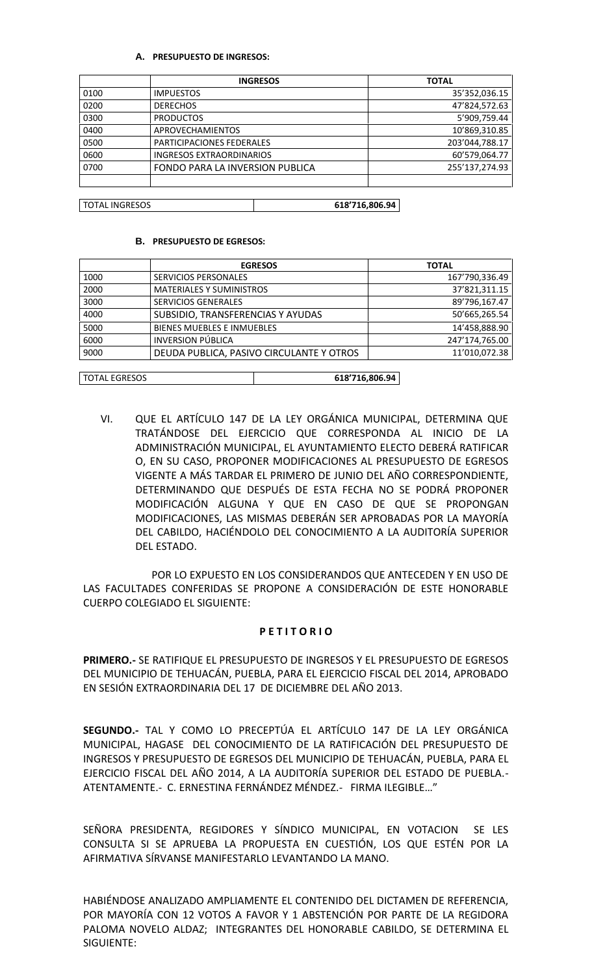### **A. PRESUPUESTO DE INGRESOS:**

|      | <b>INGRESOS</b>                 | <b>TOTAL</b>   |
|------|---------------------------------|----------------|
| 0100 | <b>IMPUESTOS</b>                | 35'352,036.15  |
| 0200 | <b>DERECHOS</b>                 | 47'824,572.63  |
| 0300 | <b>PRODUCTOS</b>                | 5'909,759.44   |
| 0400 | <b>APROVECHAMIENTOS</b>         | 10'869,310.85  |
| 0500 | PARTICIPACIONES FEDERALES       | 203'044,788.17 |
| 0600 | <b>INGRESOS EXTRAORDINARIOS</b> | 60'579,064.77  |
| 0700 | FONDO PARA LA INVERSION PUBLICA | 255'137,274.93 |
|      |                                 |                |

# TOTAL INGRESOS **618'716,806.94**

#### **B. PRESUPUESTO DE EGRESOS:**

|                      | <b>EGRESOS</b>                           |                | <b>TOTAL</b>   |  |
|----------------------|------------------------------------------|----------------|----------------|--|
| 1000                 | <b>SERVICIOS PERSONALES</b>              |                | 167'790,336.49 |  |
| 2000                 | <b>MATERIALES Y SUMINISTROS</b>          |                | 37'821,311.15  |  |
| 3000                 | <b>SERVICIOS GENERALES</b>               |                | 89'796,167.47  |  |
| 4000                 | SUBSIDIO, TRANSFERENCIAS Y AYUDAS        |                | 50'665,265.54  |  |
| 5000                 | <b>BIENES MUEBLES E INMUEBLES</b>        |                | 14'458,888.90  |  |
| 6000                 | <b>INVERSION PÚBLICA</b>                 |                | 247'174,765.00 |  |
| 9000                 | DEUDA PUBLICA, PASIVO CIRCULANTE Y OTROS |                | 11'010,072.38  |  |
|                      |                                          |                |                |  |
| <b>TOTAL EGRESOS</b> |                                          | 618'716.806.94 |                |  |

VI. QUE EL ARTÍCULO 147 DE LA LEY ORGÁNICA MUNICIPAL, DETERMINA QUE TRATÁNDOSE DEL EJERCICIO QUE CORRESPONDA AL INICIO DE LA ADMINISTRACIÓN MUNICIPAL, EL AYUNTAMIENTO ELECTO DEBERÁ RATIFICAR O, EN SU CASO, PROPONER MODIFICACIONES AL PRESUPUESTO DE EGRESOS VIGENTE A MÁS TARDAR EL PRIMERO DE JUNIO DEL AÑO CORRESPONDIENTE, DETERMINANDO QUE DESPUÉS DE ESTA FECHA NO SE PODRÁ PROPONER MODIFICACIÓN ALGUNA Y QUE EN CASO DE QUE SE PROPONGAN MODIFICACIONES, LAS MISMAS DEBERÁN SER APROBADAS POR LA MAYORÍA DEL CABILDO, HACIÉNDOLO DEL CONOCIMIENTO A LA AUDITORÍA SUPERIOR DEL ESTADO.

POR LO EXPUESTO EN LOS CONSIDERANDOS QUE ANTECEDEN Y EN USO DE LAS FACULTADES CONFERIDAS SE PROPONE A CONSIDERACIÓN DE ESTE HONORABLE CUERPO COLEGIADO EL SIGUIENTE:

#### **P E T I T O R I O**

**PRIMERO.-** SE RATIFIQUE EL PRESUPUESTO DE INGRESOS Y EL PRESUPUESTO DE EGRESOS DEL MUNICIPIO DE TEHUACÁN, PUEBLA, PARA EL EJERCICIO FISCAL DEL 2014, APROBADO EN SESIÓN EXTRAORDINARIA DEL 17 DE DICIEMBRE DEL AÑO 2013.

**SEGUNDO.-** TAL Y COMO LO PRECEPTÚA EL ARTÍCULO 147 DE LA LEY ORGÁNICA MUNICIPAL, HAGASE DEL CONOCIMIENTO DE LA RATIFICACIÓN DEL PRESUPUESTO DE INGRESOS Y PRESUPUESTO DE EGRESOS DEL MUNICIPIO DE TEHUACÁN, PUEBLA, PARA EL EJERCICIO FISCAL DEL AÑO 2014, A LA AUDITORÍA SUPERIOR DEL ESTADO DE PUEBLA.- ATENTAMENTE.- C. ERNESTINA FERNÁNDEZ MÉNDEZ.- FIRMA ILEGIBLE…"

SEÑORA PRESIDENTA, REGIDORES Y SÍNDICO MUNICIPAL, EN VOTACION SE LES CONSULTA SI SE APRUEBA LA PROPUESTA EN CUESTIÓN, LOS QUE ESTÉN POR LA AFIRMATIVA SÍRVANSE MANIFESTARLO LEVANTANDO LA MANO.

HABIÉNDOSE ANALIZADO AMPLIAMENTE EL CONTENIDO DEL DICTAMEN DE REFERENCIA, POR MAYORÍA CON 12 VOTOS A FAVOR Y 1 ABSTENCIÓN POR PARTE DE LA REGIDORA PALOMA NOVELO ALDAZ; INTEGRANTES DEL HONORABLE CABILDO, SE DETERMINA EL SIGUIENTE: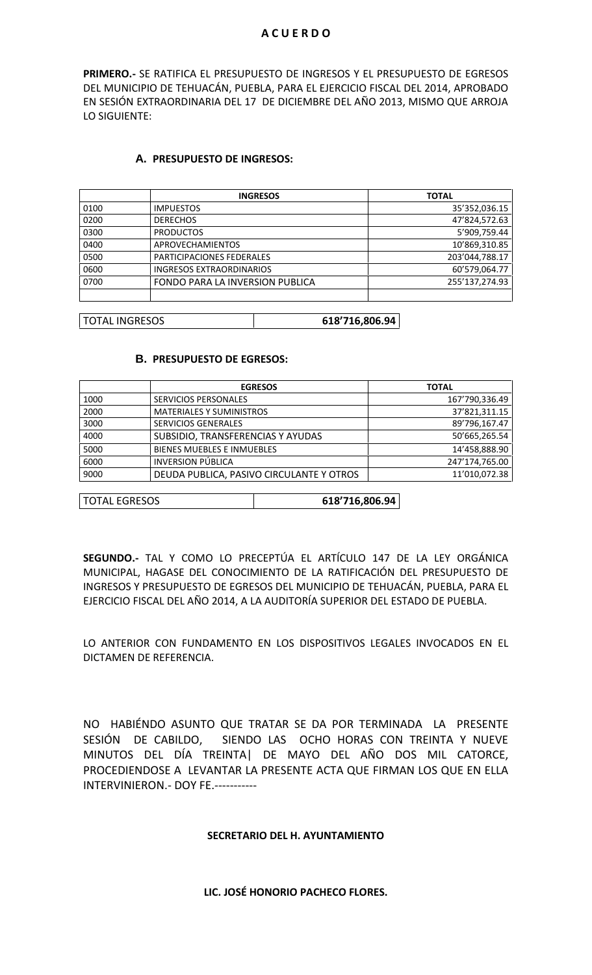### **A C U E R D O**

**PRIMERO.-** SE RATIFICA EL PRESUPUESTO DE INGRESOS Y EL PRESUPUESTO DE EGRESOS DEL MUNICIPIO DE TEHUACÁN, PUEBLA, PARA EL EJERCICIO FISCAL DEL 2014, APROBADO EN SESIÓN EXTRAORDINARIA DEL 17 DE DICIEMBRE DEL AÑO 2013, MISMO QUE ARROJA LO SIGUIENTE:

## **A. PRESUPUESTO DE INGRESOS:**

|      | <b>INGRESOS</b>                 | <b>TOTAL</b>   |
|------|---------------------------------|----------------|
| 0100 | <b>IMPUESTOS</b>                | 35'352,036.15  |
| 0200 | <b>DERECHOS</b>                 | 47'824,572.63  |
| 0300 | <b>PRODUCTOS</b>                | 5'909,759.44   |
| 0400 | <b>APROVECHAMIENTOS</b>         | 10'869,310.85  |
| 0500 | PARTICIPACIONES FEDERALES       | 203'044,788.17 |
| 0600 | <b>INGRESOS EXTRAORDINARIOS</b> | 60'579,064.77  |
| 0700 | FONDO PARA LA INVERSION PUBLICA | 255'137,274.93 |
|      |                                 |                |

TOTAL INGRESOS **618'716,806.94**

## **B. PRESUPUESTO DE EGRESOS:**

|      | <b>EGRESOS</b>                           | <b>TOTAL</b>   |
|------|------------------------------------------|----------------|
| 1000 | <b>SERVICIOS PERSONALES</b>              | 167'790,336.49 |
| 2000 | <b>MATERIALES Y SUMINISTROS</b>          | 37'821,311.15  |
| 3000 | <b>SERVICIOS GENERALES</b>               | 89'796,167.47  |
| 4000 | SUBSIDIO, TRANSFERENCIAS Y AYUDAS        | 50'665,265.54  |
| 5000 | <b>BIENES MUEBLES E INMUEBLES</b>        | 14'458,888.90  |
| 6000 | <b>INVERSION PÚBLICA</b>                 | 247'174,765.00 |
| 9000 | DEUDA PUBLICA, PASIVO CIRCULANTE Y OTROS | 11'010,072.38  |

| <b>TOTAL EGRESOS</b> | 618'716,806.94 |
|----------------------|----------------|
|----------------------|----------------|

**SEGUNDO.-** TAL Y COMO LO PRECEPTÚA EL ARTÍCULO 147 DE LA LEY ORGÁNICA MUNICIPAL, HAGASE DEL CONOCIMIENTO DE LA RATIFICACIÓN DEL PRESUPUESTO DE INGRESOS Y PRESUPUESTO DE EGRESOS DEL MUNICIPIO DE TEHUACÁN, PUEBLA, PARA EL EJERCICIO FISCAL DEL AÑO 2014, A LA AUDITORÍA SUPERIOR DEL ESTADO DE PUEBLA.

LO ANTERIOR CON FUNDAMENTO EN LOS DISPOSITIVOS LEGALES INVOCADOS EN EL DICTAMEN DE REFERENCIA.

NO HABIÉNDO ASUNTO QUE TRATAR SE DA POR TERMINADA LA PRESENTE SESIÓN DE CABILDO, SIENDO LAS OCHO HORAS CON TREINTA Y NUEVE MINUTOS DEL DÍA TREINTA| DE MAYO DEL AÑO DOS MIL CATORCE, PROCEDIENDOSE A LEVANTAR LA PRESENTE ACTA QUE FIRMAN LOS QUE EN ELLA INTERVINIERON.- DOY FE.-----------

## **SECRETARIO DEL H. AYUNTAMIENTO**

### **LIC. JOSÉ HONORIO PACHECO FLORES.**